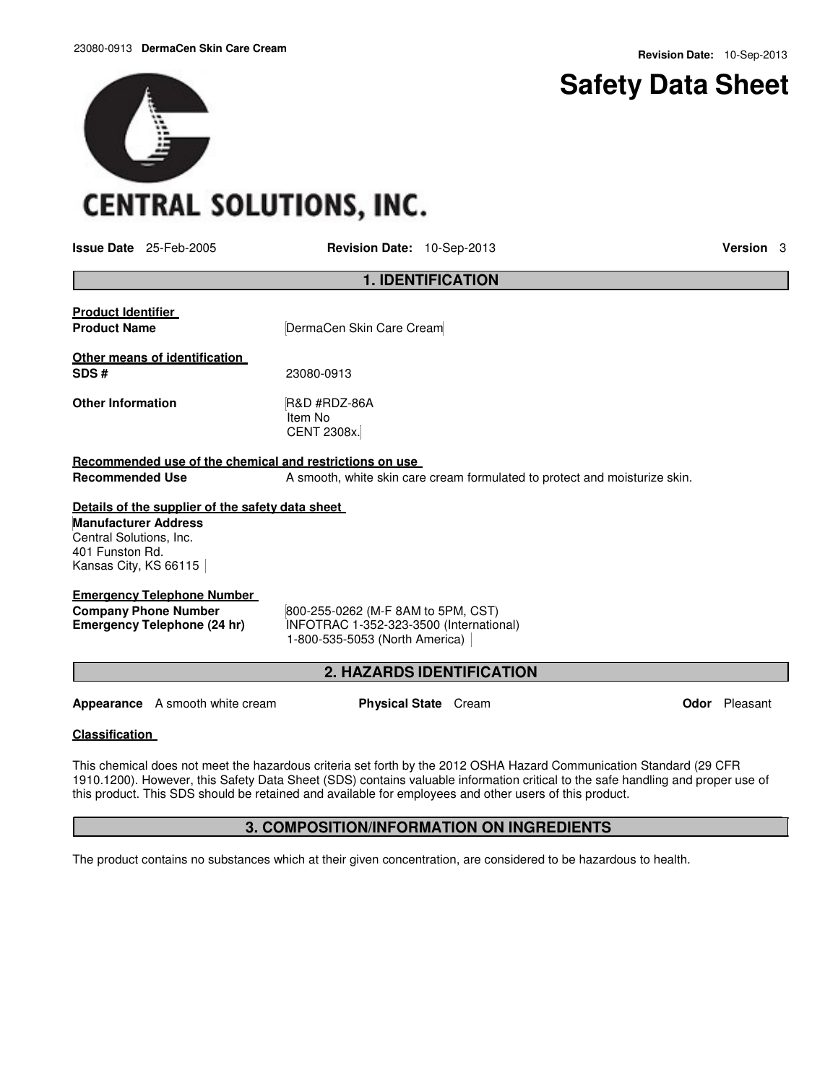# **Safety Data Sheet**

# **CENTRAL SOLUTIONS, INC.**

**Issue Date** 25-Feb-2005 **Revision Date:** 10-Sep-2013 **Version** 3

|                                                                                                      | <b>1. IDENTIFICATION</b>                                                                                        |                      |  |  |  |
|------------------------------------------------------------------------------------------------------|-----------------------------------------------------------------------------------------------------------------|----------------------|--|--|--|
| <b>Product Identifier</b><br><b>Product Name</b>                                                     | DermaCen Skin Care Cream                                                                                        |                      |  |  |  |
| Other means of identification<br>SDS#                                                                | 23080-0913                                                                                                      |                      |  |  |  |
| <b>Other Information</b>                                                                             | R&D #RDZ-86A<br>Item No<br><b>CENT 2308x.</b>                                                                   |                      |  |  |  |
| Recommended use of the chemical and restrictions on use                                              |                                                                                                                 |                      |  |  |  |
| <b>Recommended Use</b><br>A smooth, white skin care cream formulated to protect and moisturize skin. |                                                                                                                 |                      |  |  |  |
| Details of the supplier of the safety data sheet                                                     |                                                                                                                 |                      |  |  |  |
| <b>Manufacturer Address</b><br>Central Solutions, Inc.<br>401 Funston Rd.<br>Kansas City, KS 66115   |                                                                                                                 |                      |  |  |  |
| <b>Emergency Telephone Number</b>                                                                    |                                                                                                                 |                      |  |  |  |
| <b>Company Phone Number</b><br><b>Emergency Telephone (24 hr)</b>                                    | 800-255-0262 (M-F 8AM to 5PM, CST)<br>INFOTRAC 1-352-323-3500 (International)<br>1-800-535-5053 (North America) |                      |  |  |  |
| <b>2. HAZARDS IDENTIFICATION</b>                                                                     |                                                                                                                 |                      |  |  |  |
| <b>Appearance</b> A smooth white cream                                                               | <b>Physical State</b> Cream                                                                                     | <b>Odor</b> Pleasant |  |  |  |

# **Classification**

This chemical does not meet the hazardous criteria set forth by the 2012 OSHA Hazard Communication Standard (29 CFR 1910.1200). However, this Safety Data Sheet (SDS) contains valuable information critical to the safe handling and proper use of this product. This SDS should be retained and available for employees and other users of this product.

# **3. COMPOSITION/INFORMATION ON INGREDIENTS**

The product contains no substances which at their given concentration, are considered to be hazardous to health.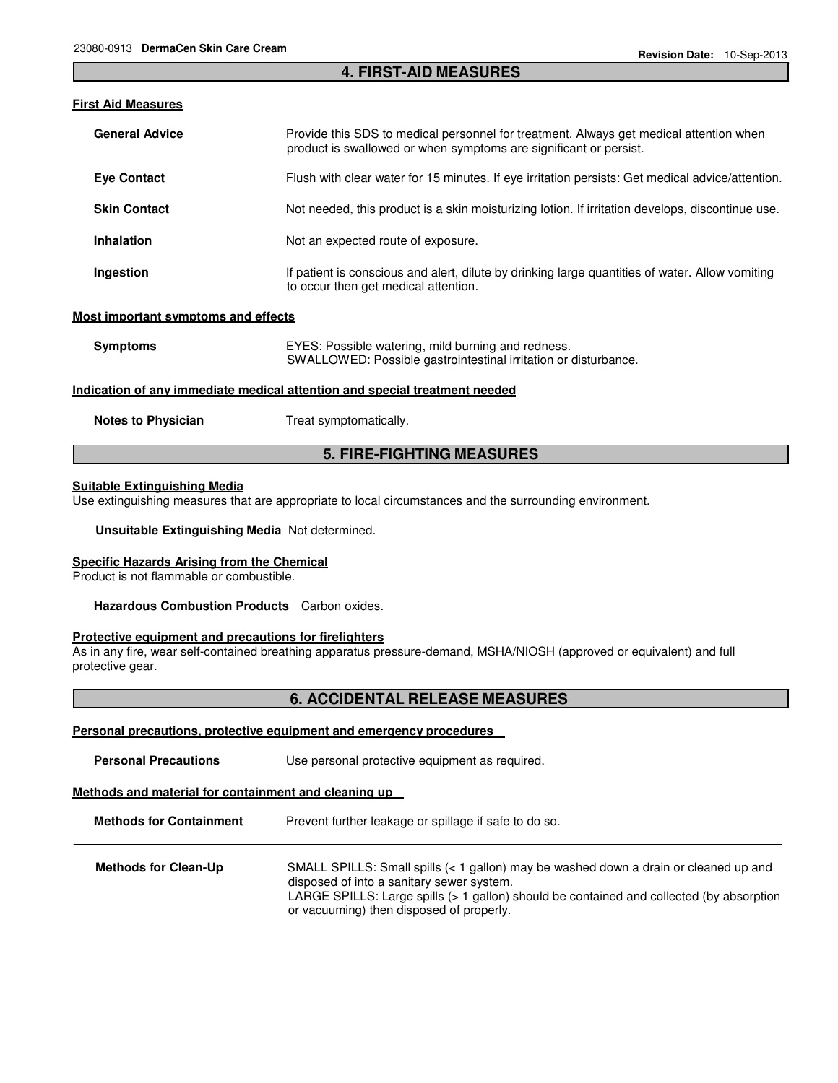#### **4. FIRST-AID MEASURES**

### **First Aid Measures**

| <b>General Advice</b>             | Provide this SDS to medical personnel for treatment. Always get medical attention when<br>product is swallowed or when symptoms are significant or persist. |
|-----------------------------------|-------------------------------------------------------------------------------------------------------------------------------------------------------------|
| <b>Eve Contact</b>                | Flush with clear water for 15 minutes. If eye irritation persists: Get medical advice/attention.                                                            |
| <b>Skin Contact</b>               | Not needed, this product is a skin moisturizing lotion. If irritation develops, discontinue use.                                                            |
| <b>Inhalation</b>                 | Not an expected route of exposure.                                                                                                                          |
| Ingestion                         | If patient is conscious and alert, dilute by drinking large quantities of water. Allow vomiting<br>to occur then get medical attention.                     |
| et imnertant cymnteme and effecte |                                                                                                                                                             |

#### **Most important symptoms and effects**

| <b>Symptoms</b>                                                            | EYES: Possible watering, mild burning and redness.<br>SWALLOWED: Possible gastrointestinal irritation or disturbance. |  |  |  |
|----------------------------------------------------------------------------|-----------------------------------------------------------------------------------------------------------------------|--|--|--|
| Indication of any immediate medical attention and special treatment needed |                                                                                                                       |  |  |  |
| <b>Notes to Physician</b>                                                  | Treat symptomatically.                                                                                                |  |  |  |

# **5. FIRE-FIGHTING MEASURES**

#### **Suitable Extinguishing Media**

Use extinguishing measures that are appropriate to local circumstances and the surrounding environment.

**Unsuitable Extinguishing Media** Not determined.

#### **Specific Hazards Arising from the Chemical**

Product is not flammable or combustible.

**Hazardous Combustion Products** Carbon oxides.

#### **Protective equipment and precautions for firefighters**

As in any fire, wear self-contained breathing apparatus pressure-demand, MSHA/NIOSH (approved or equivalent) and full protective gear.

# **6. ACCIDENTAL RELEASE MEASURES**

#### **Personal precautions, protective equipment and emergency procedures**

| <b>Personal Precautions</b> | Use personal protective equipment as required. |  |
|-----------------------------|------------------------------------------------|--|
|-----------------------------|------------------------------------------------|--|

# **Methods and material for containment and cleaning up**

**Methods for Containment** Prevent further leakage or spillage if safe to do so.

| <b>Methods for Clean-Up</b> | SMALL SPILLS: Small spills $(1 gallon) may be washed down a drain or cleaned up and$     |
|-----------------------------|------------------------------------------------------------------------------------------|
|                             | disposed of into a sanitary sewer system.                                                |
|                             | LARGE SPILLS: Large spills (> 1 gallon) should be contained and collected (by absorption |
|                             | or vacuuming) then disposed of properly.                                                 |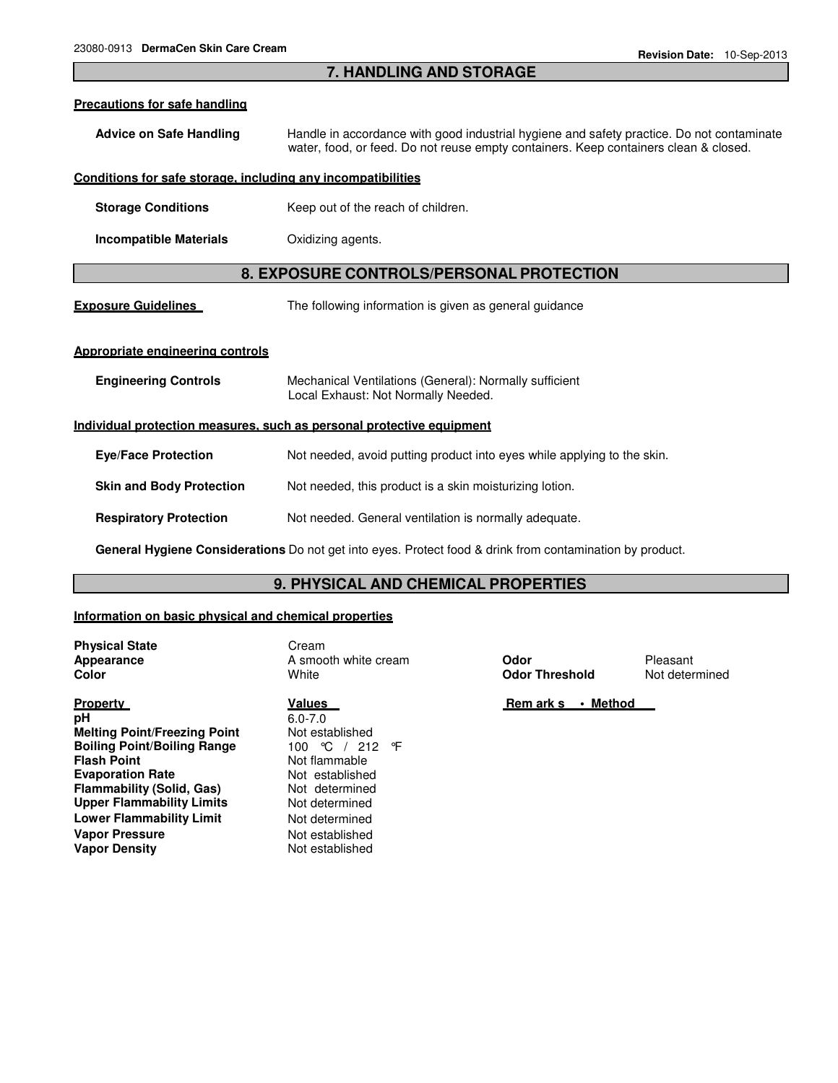# **7. HANDLING AND STORAGE**

#### **Precautions for safe handling**

**Advice on Safe Handling** Handle in accordance with good industrial hygiene and safety practice. Do not contaminate water, food, or feed. Do not reuse empty containers. Keep containers clean & closed.

#### **Conditions for safe storage, including any incompatibilities**

- **Storage Conditions Keep out of the reach of children.**
- **Incompatible Materials** Oxidizing agents.

# **8. EXPOSURE CONTROLS/PERSONAL PROTECTION**

**Exposure Guidelines** The following information is given as general guidance

#### **Appropriate engineering controls**

| <b>Engineering Controls</b>                                           | Mechanical Ventilations (General): Normally sufficient<br>Local Exhaust: Not Normally Needed. |  |  |
|-----------------------------------------------------------------------|-----------------------------------------------------------------------------------------------|--|--|
| Individual protection measures, such as personal protective equipment |                                                                                               |  |  |
| <b>Eve/Face Protection</b>                                            | Not needed, avoid putting product into eyes while applying to the skin.                       |  |  |
| <b>Skin and Body Protection</b>                                       | Not needed, this product is a skin moisturizing lotion.                                       |  |  |
| <b>Respiratory Protection</b>                                         | Not needed. General ventilation is normally adequate.                                         |  |  |
|                                                                       |                                                                                               |  |  |

**General Hygiene Considerations** Do not get into eyes. Protect food & drink from contamination by product.

### **9. PHYSICAL AND CHEMICAL PROPERTIES**

#### **Information on basic physical and chemical properties**

**Physical State** Cream

**Property pH Melting Point/Freezing Point Boiling Point/Boiling Range Flash Point Evaporation Rate Flammability (Solid, Gas) Upper Flammability Limits Lower Flammability Limit** Not determined **Vapor Pressure Vapor Density**

### **Values**

6.0-7.0 Not established 100 °C / 212 °F Not flammable Not established Not determined Not determined Not established Not established

**Appearance A smooth white cream <b>Odor** Pleasant **Color Color Color Color Color Color Not determined Odor Threshold** Not determined

 **Rem ark s • Method**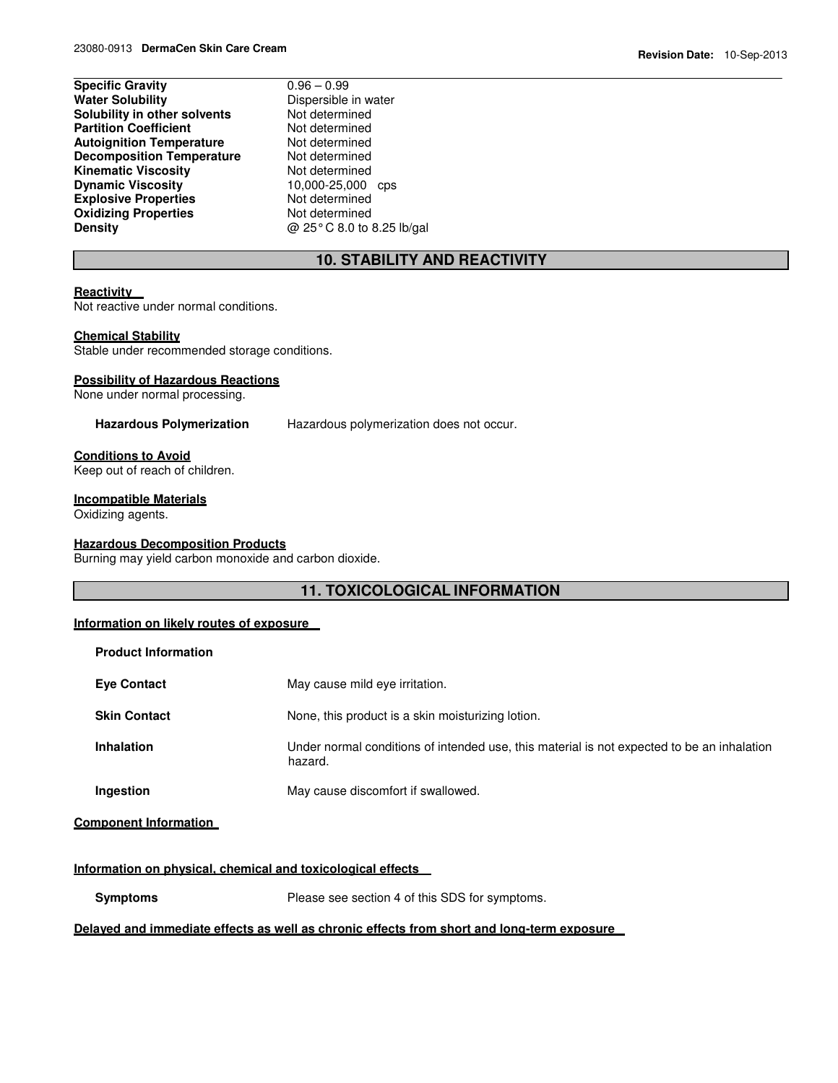| <b>Specific Gravity</b>          | $0.96 - 0.99$             |
|----------------------------------|---------------------------|
| <b>Water Solubility</b>          | Dispersible in water      |
| Solubility in other solvents     | Not determined            |
| <b>Partition Coefficient</b>     | Not determined            |
| <b>Autoignition Temperature</b>  | Not determined            |
| <b>Decomposition Temperature</b> | Not determined            |
| <b>Kinematic Viscosity</b>       | Not determined            |
| <b>Dynamic Viscosity</b>         | 10,000-25,000 cps         |
| <b>Explosive Properties</b>      | Not determined            |
| <b>Oxidizing Properties</b>      | Not determined            |
| Density                          | @ 25°C 8.0 to 8.25 lb/gal |
|                                  |                           |

# **10. STABILITY AND REACTIVITY**

# **Reactivity**

Not reactive under normal conditions.

# **Chemical Stability**

Stable under recommended storage conditions.

#### **Possibility of Hazardous Reactions**

None under normal processing.

**Hazardous Polymerization** Hazardous polymerization does not occur.

#### **Conditions to Avoid**

Keep out of reach of children.

#### **Incompatible Materials**

Oxidizing agents.

#### **Hazardous Decomposition Products**

Burning may yield carbon monoxide and carbon dioxide.

# **11. TOXICOLOGICAL INFORMATION**

#### **Information on likely routes of exposure**

| <b>Product Information</b> |                                                                                                       |
|----------------------------|-------------------------------------------------------------------------------------------------------|
| <b>Eye Contact</b>         | May cause mild eye irritation.                                                                        |
| <b>Skin Contact</b>        | None, this product is a skin moisturizing lotion.                                                     |
| <b>Inhalation</b>          | Under normal conditions of intended use, this material is not expected to be an inhalation<br>hazard. |
| Ingestion                  | May cause discomfort if swallowed.                                                                    |

### **Component Information**

#### **Information on physical, chemical and toxicological effects**

**Symptoms** Please see section 4 of this SDS for symptoms.

# **Delayed and immediate effects as well as chronic effects from short and long-term exposure**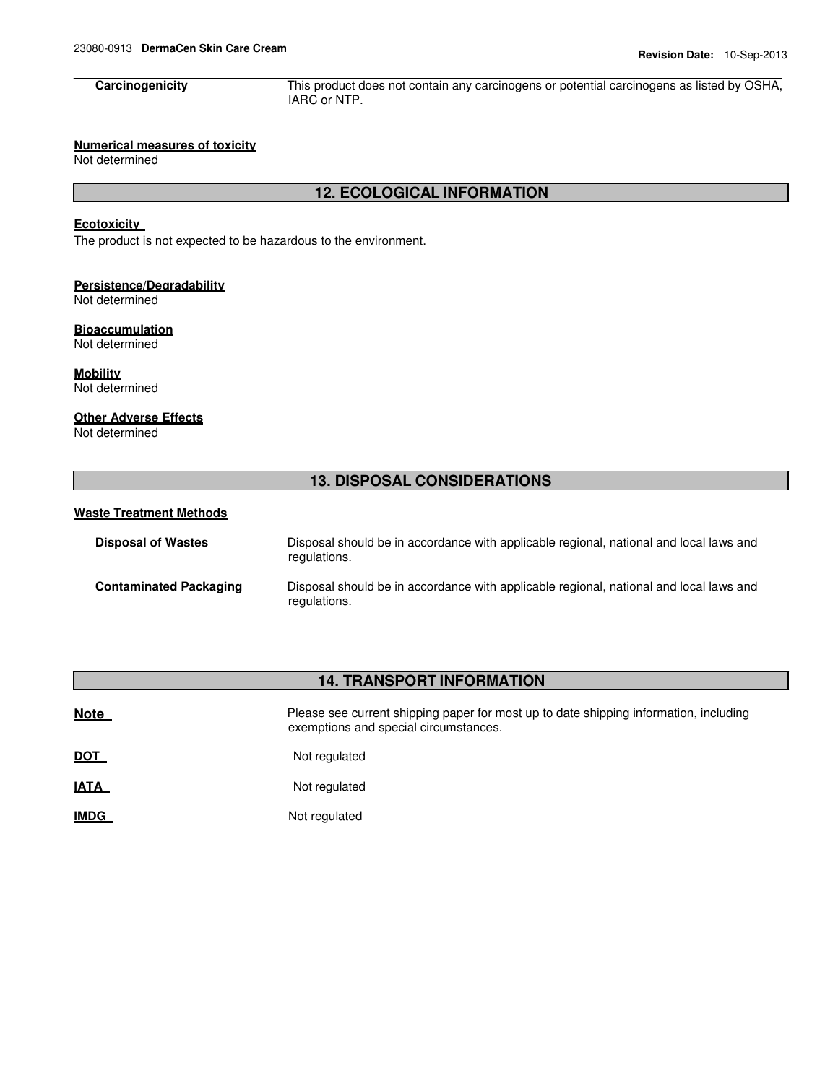**Carcinogenicity** This product does not contain any carcinogens or potential carcinogens as listed by OSHA, IARC or NTP.

# **Numerical measures of toxicity**

Not determined

# **12. ECOLOGICAL INFORMATION**

# **Ecotoxicity**

The product is not expected to be hazardous to the environment.

#### **Persistence/Degradability** Not determined

**Bioaccumulation**

Not determined

**Mobility** Not determined

# **Other Adverse Effects**

Not determined

# **13. DISPOSAL CONSIDERATIONS**

### **Waste Treatment Methods**

| <b>Disposal of Wastes</b>     | Disposal should be in accordance with applicable regional, national and local laws and<br>regulations. |
|-------------------------------|--------------------------------------------------------------------------------------------------------|
| <b>Contaminated Packaging</b> | Disposal should be in accordance with applicable regional, national and local laws and<br>regulations. |

# **14. TRANSPORT INFORMATION**

| <b>Note</b> | Please see current shipping paper for most up to date shipping information, including<br>exemptions and special circumstances. |
|-------------|--------------------------------------------------------------------------------------------------------------------------------|
| <b>DOT</b>  | Not regulated                                                                                                                  |
| .           |                                                                                                                                |

**IATA** Not regulated

**IMDG** Not regulated